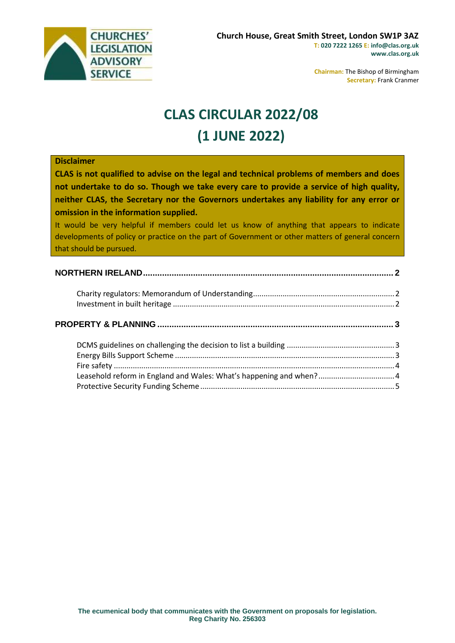

**Chairman:** The Bishop of Birmingham **Secretary:** Frank Cranmer

# **CLAS CIRCULAR 2022/08 (1 JUNE 2022)**

| <b>Disclaimer</b>                                                                                |  |
|--------------------------------------------------------------------------------------------------|--|
| CLAS is not qualified to advise on the legal and technical problems of members and does          |  |
| not undertake to do so. Though we take every care to provide a service of high quality,          |  |
| neither CLAS, the Secretary nor the Governors undertakes any liability for any error or          |  |
| omission in the information supplied.                                                            |  |
| It would be very helpful if members could let us know of anything that appears to indicate       |  |
| developments of policy or practice on the part of Government or other matters of general concern |  |
| that should be pursued.                                                                          |  |
|                                                                                                  |  |
|                                                                                                  |  |
|                                                                                                  |  |
|                                                                                                  |  |
|                                                                                                  |  |
|                                                                                                  |  |
|                                                                                                  |  |
|                                                                                                  |  |
|                                                                                                  |  |
|                                                                                                  |  |
|                                                                                                  |  |
| Leasehold reform in England and Wales: What's happening and when? 4                              |  |
|                                                                                                  |  |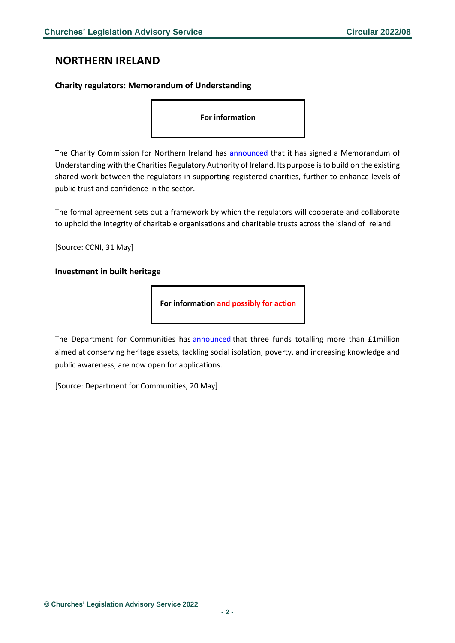### <span id="page-1-0"></span>**NORTHERN IRELAND**

#### <span id="page-1-1"></span>**Charity regulators: Memorandum of Understanding**

**For information**

The Charity Commission for Northern Ireland has **announced** that it has signed a Memorandum of Understanding with the Charities Regulatory Authority of Ireland. Its purpose is to build on the existing shared work between the regulators in supporting registered charities, further to enhance levels of public trust and confidence in the sector.

The formal agreement sets out a framework by which the regulators will cooperate and collaborate to uphold the integrity of charitable organisations and charitable trusts across the island of Ireland.

[Source: CCNI, 31 May]

#### <span id="page-1-2"></span>**Investment in built heritage**

**For information and possibly for action**

The Department for Communities has **[announced](https://www.communities-ni.gov.uk/news/over-million-pounds-available-investment-built-heritage)** that three funds totalling more than £1million aimed at conserving heritage assets, tackling social isolation, poverty, and increasing knowledge and public awareness, are now open for applications.

[Source: Department for Communities, 20 May]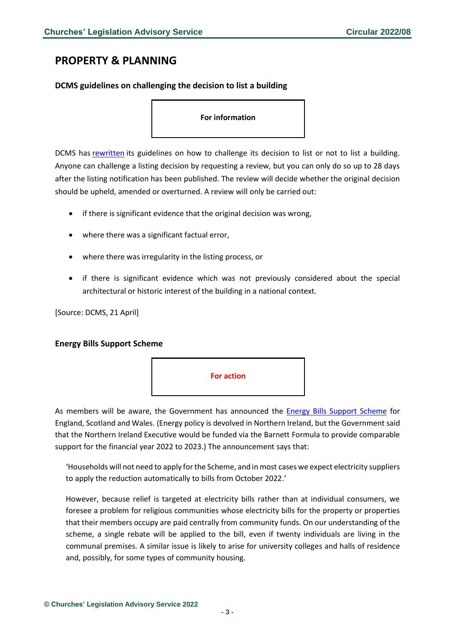## <span id="page-2-0"></span>**PROPERTY & PLANNING**

<span id="page-2-1"></span>**DCMS guidelines on challenging the decision to list a building**

**For information**

DCMS has [rewritten](https://www.gov.uk/guidance/how-to-challenge-our-decision-to-list-or-not-list-a-building#full-publication-update-history) its guidelines on how to challenge its decision to list or not to list a building. Anyone can challenge a listing decision by requesting a review, but you can only do so up to 28 days after the listing notification has been published. The review will decide whether the original decision should be upheld, amended or overturned. A review will only be carried out:

- if there is significant evidence that the original decision was wrong,
- where there was a significant factual error,
- where there was irregularity in the listing process, or
- if there is significant evidence which was not previously considered about the special architectural or historic interest of the building in a national context.

[Source: DCMS, 21 April]

#### <span id="page-2-2"></span>**Energy Bills Support Scheme**



As members will be aware, the Government has announced the [Energy Bills Support Scheme](https://www.gov.uk/government/news/energy-bills-support-scheme-explainer) for England, Scotland and Wales. (Energy policy is devolved in Northern Ireland, but the Government said that the Northern Ireland Executive would be funded via the Barnett Formula to provide comparable support for the financial year 2022 to 2023.) The announcement says that:

'Households will not need to apply for the Scheme, and in most cases we expect electricity suppliers to apply the reduction automatically to bills from October 2022.'

However, because relief is targeted at electricity bills rather than at individual consumers, we foresee a problem for religious communities whose electricity bills for the property or properties that their members occupy are paid centrally from community funds. On our understanding of the scheme, a single rebate will be applied to the bill, even if twenty individuals are living in the communal premises. A similar issue is likely to arise for university colleges and halls of residence and, possibly, for some types of community housing.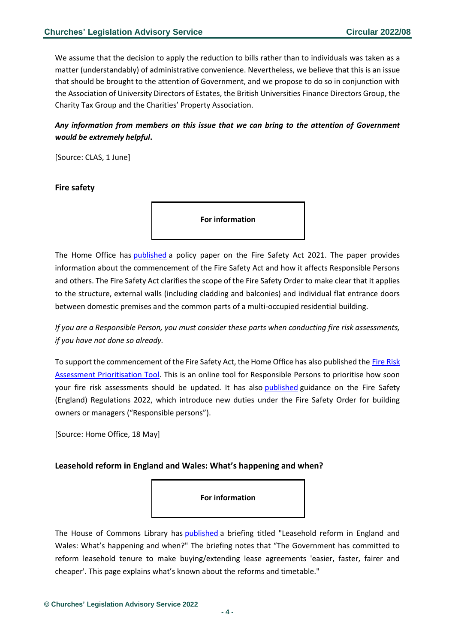We assume that the decision to apply the reduction to bills rather than to individuals was taken as a matter (understandably) of administrative convenience. Nevertheless, we believe that this is an issue that should be brought to the attention of Government, and we propose to do so in conjunction with the Association of University Directors of Estates, the British Universities Finance Directors Group, the Charity Tax Group and the Charities' Property Association.

#### *Any information from members on this issue that we can bring to the attention of Government would be extremely helpful***.**

[Source: CLAS, 1 June]

#### <span id="page-3-0"></span>**Fire safety**

**For information**

The Home Office has [published](https://www.gov.uk/government/publications/fire-safety-act-2021?utm_medium=email&utm_campaign=govuk-notifications-topic&utm_source=c37efdb8-d8a6-450e-8e0f-bfcefef92a1c&utm_content=daily) a policy paper on the Fire Safety Act 2021. The paper provides information about the commencement of the Fire Safety Act and how it affects Responsible Persons and others. The Fire Safety Act clarifies the scope of the Fire Safety Order to make clear that it applies to the structure, external walls (including cladding and balconies) and individual flat entrance doors between domestic premises and the common parts of a multi-occupied residential building.

*If you are a Responsible Person, you must consider these parts when conducting fire risk assessments, if you have not done so already.*

To support the commencement of the Fire Safety Act, the Home Office has also published the Fire Risk [Assessment Prioritisation Tool.](https://bpt.homeoffice.gov.uk/) This is an online tool for Responsible Persons to prioritise how soon your fire risk assessments should be updated. It has also [published](https://www.gov.uk/government/publications/fire-safety-england-regulations-2022?utm_medium=email&utm_campaign=govuk-notifications-topic&utm_source=e741d549-5aa8-4819-ab02-0c0dc4ed38a2&utm_content=daily) guidance on the Fire Safety (England) Regulations 2022, which introduce new duties under the Fire Safety Order for building owners or managers ("Responsible persons").

[Source: Home Office, 18 May]

#### <span id="page-3-1"></span>**Leasehold reform in England and Wales: What's happening and when?**

**For information**

The House of Commons Library has [published](https://commonslibrary.parliament.uk/leasehold-reform-in-england-and-wales/?utm_source=HOC+Library+-+Research+alerts&utm_campaign=1ab676240a-EMAIL_CAMPAIGN_2022_06_01_08_00&utm_medium=email&utm_term=0_a9da1c9b17-1ab676240a-103579521&mc_cid=1ab676240a&mc_eid=4f1a0992e5) a briefing titled "Leasehold reform in England and Wales: What's happening and when?" The briefing notes that "The Government has committed to reform leasehold tenure to make buying/extending lease agreements 'easier, faster, fairer and cheaper'. This page explains what's known about the reforms and timetable."